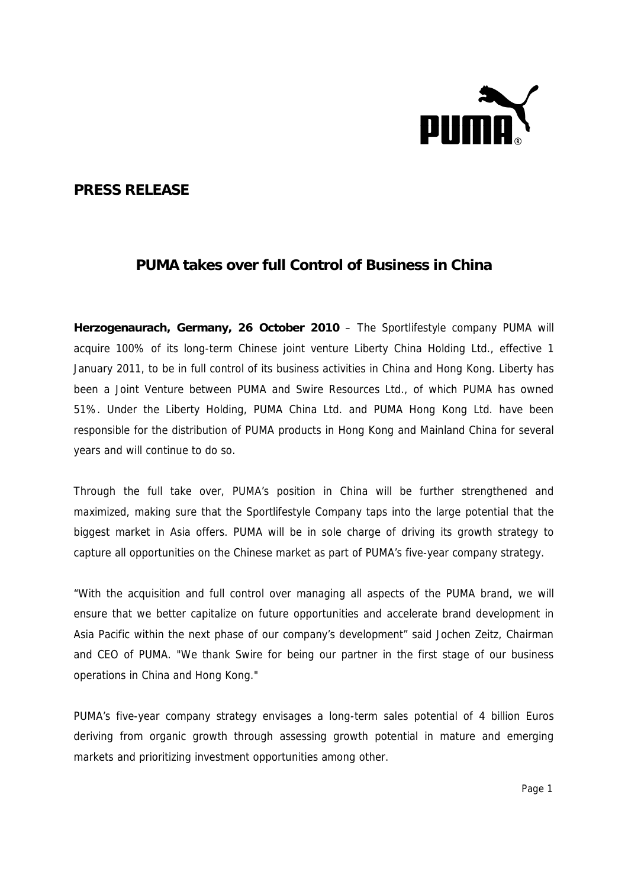

## **PRESS RELEASE**

## **PUMA takes over full Control of Business in China**

**Herzogenaurach, Germany, 26 October 2010** – The Sportlifestyle company PUMA will acquire 100% of its long-term Chinese joint venture Liberty China Holding Ltd., effective 1 January 2011, to be in full control of its business activities in China and Hong Kong. Liberty has been a Joint Venture between PUMA and Swire Resources Ltd., of which PUMA has owned 51%. Under the Liberty Holding, PUMA China Ltd. and PUMA Hong Kong Ltd. have been responsible for the distribution of PUMA products in Hong Kong and Mainland China for several years and will continue to do so.

Through the full take over, PUMA's position in China will be further strengthened and maximized, making sure that the Sportlifestyle Company taps into the large potential that the biggest market in Asia offers. PUMA will be in sole charge of driving its growth strategy to capture all opportunities on the Chinese market as part of PUMA's five-year company strategy.

"With the acquisition and full control over managing all aspects of the PUMA brand, we will ensure that we better capitalize on future opportunities and accelerate brand development in Asia Pacific within the next phase of our company's development" said Jochen Zeitz, Chairman and CEO of PUMA. "We thank Swire for being our partner in the first stage of our business operations in China and Hong Kong."

PUMA's five-year company strategy envisages a long-term sales potential of 4 billion Euros deriving from organic growth through assessing growth potential in mature and emerging markets and prioritizing investment opportunities among other.